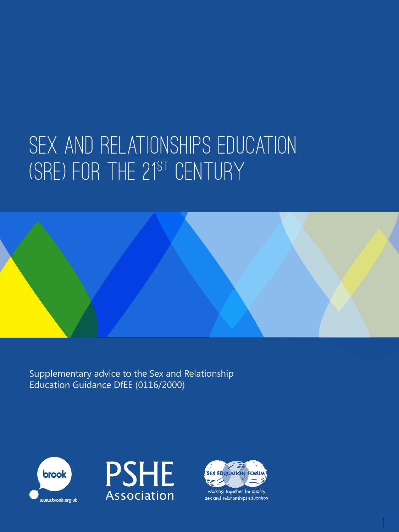# Sex and relationships education (SRE) for the 21st century

Supplementary advice to the Sex and Relationship Education Guidance DfEE (0116/2000)







working together for quality sex and relationships education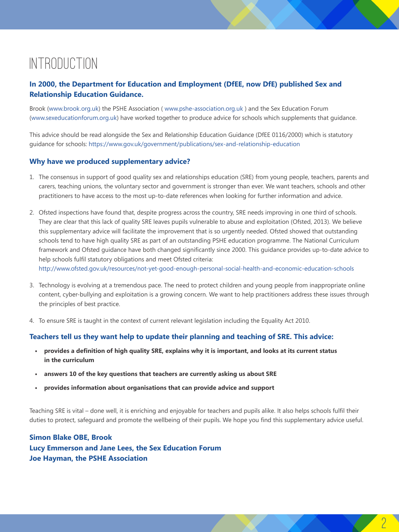# introduction

## **In 2000, the Department for Education and Employment (DfEE, now DfE) published Sex and Relationship Education Guidance.**

Brook [\(www.brook.org.uk\)](www.brook.org.uk) the PSHE Association ( [www.pshe-association.org.uk](http://www.pshe-association.org.uk) ) and the Sex Education Forum (www.sexeducationforum.org.uk) have worked together to produce advice for schools which supplements that guidance.

This advice should be read alongside the Sex and Relationship Education Guidance (DfEE 0116/2000) which is statutory guidance for schools: [https://www.gov.uk/government/publications/sex-and-relationship-education](https://www.gov.uk/government/publications/sex-and-relationship-education )

#### **Why have we produced supplementary advice?**

- 1. The consensus in support of good quality sex and relationships education (SRE) from young people, teachers, parents and carers, teaching unions, the voluntary sector and government is stronger than ever. We want teachers, schools and other practitioners to have access to the most up-to-date references when looking for further information and advice.
- 2. Ofsted inspections have found that, despite progress across the country, SRE needs improving in one third of schools. They are clear that this lack of quality SRE leaves pupils vulnerable to abuse and exploitation (Ofsted, 2013). We believe this supplementary advice will facilitate the improvement that is so urgently needed. Ofsted showed that outstanding schools tend to have high quality SRE as part of an outstanding PSHE education programme. The National Curriculum framework and Ofsted guidance have both changed significantly since 2000. This guidance provides up-to-date advice to help schools fulfil statutory obligations and meet Ofsted criteria:

[http://www.ofsted.gov.uk/resources/not-yet-good-enough-personal-social-health-and-economic-education-schools](http://www.ofsted.gov.uk/resources/not-yet-good-enough-personal-social-health-and-economic-education-schools )

- 3. Technology is evolving at a tremendous pace. The need to protect children and young people from inappropriate online content, cyber-bullying and exploitation is a growing concern. We want to help practitioners address these issues through the principles of best practice.
- 4. To ensure SRE is taught in the context of current relevant legislation including the Equality Act 2010.

### **Teachers tell us they want help to update their planning and teaching of SRE. This advice:**

- provides a definition of high quality SRE, explains why it is important, and looks at its current status **in the curriculum**
- **• answers 10 of the key questions that teachers are currently asking us about SRE**
- **• provides information about organisations that can provide advice and support**

Teaching SRE is vital – done well, it is enriching and enjoyable for teachers and pupils alike. It also helps schools fulfil their duties to protect, safeguard and promote the wellbeing of their pupils. We hope you find this supplementary advice useful.

## **Simon Blake OBE, Brook Lucy Emmerson and Jane Lees, the Sex Education Forum Joe Hayman, the PSHE Association**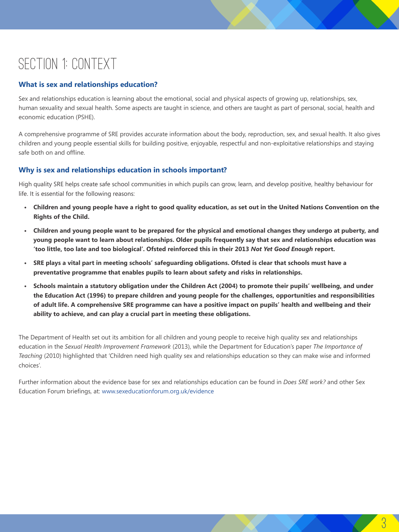# SECTION 1: CONTEXT

### **What is sex and relationships education?**

Sex and relationships education is learning about the emotional, social and physical aspects of growing up, relationships, sex, human sexuality and sexual health. Some aspects are taught in science, and others are taught as part of personal, social, health and economic education (PSHE).

A comprehensive programme of SRE provides accurate information about the body, reproduction, sex, and sexual health. It also gives children and young people essential skills for building positive, enjoyable, respectful and non-exploitative relationships and staying safe both on and offline.

### **Why is sex and relationships education in schools important?**

High quality SRE helps create safe school communities in which pupils can grow, learn, and develop positive, healthy behaviour for life. It is essential for the following reasons:

- Children and young people have a right to good quality education, as set out in the United Nations Convention on the **Rights of the Child.**
- **• Children and young people want to be prepared for the physical and emotional changes they undergo at puberty, and**  young people want to learn about relationships. Older pupils frequently say that sex and relationships education was **'too little, too late and too biological'. Ofsted reinforced this in their 2013** *Not Yet Good Enough* **report.**
- SRE plays a vital part in meeting schools' safeguarding obligations. Ofsted is clear that schools must have a **preventative programme that enables pupils to learn about safety and risks in relationships.**
- **• Schools maintain a statutory obligation under the Children Act (2004) to promote their pupils' wellbeing, and under the Education Act (1996) to prepare children and young people for the challenges, opportunities and responsibilities of adult life. A comprehensive SRE programme can have a positive impact on pupils' health and wellbeing and their ability to achieve, and can play a crucial part in meeting these obligations.**

The Department of Health set out its ambition for all children and young people to receive high quality sex and relationships education in the *Sexual Health Improvement Framework* (2013), while the Department for Education's paper *The Importance of Teaching* (2010) highlighted that 'Children need high quality sex and relationships education so they can make wise and informed choices'.

Further information about the evidence base for sex and relationships education can be found in *Does SRE work?* and other Sex Education Forum briefings, at: <www.sexeducationforum.org.uk/evidence>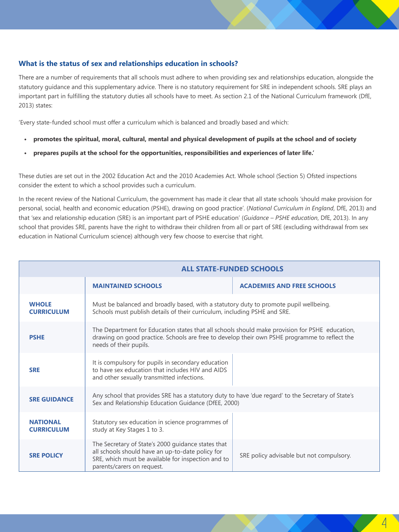### **What is the status of sex and relationships education in schools?**

There are a number of requirements that all schools must adhere to when providing sex and relationships education, alongside the statutory guidance and this supplementary advice. There is no statutory requirement for SRE in independent schools. SRE plays an important part in fulfilling the statutory duties all schools have to meet. As section 2.1 of the National Curriculum framework (DfE, 2013) states:

'Every state-funded school must offer a curriculum which is balanced and broadly based and which:

- **• promotes the spiritual, moral, cultural, mental and physical development of pupils at the school and of society**
- **• prepares pupils at the school for the opportunities, responsibilities and experiences of later life.'**

These duties are set out in the 2002 Education Act and the 2010 Academies Act. Whole school (Section 5) Ofsted inspections consider the extent to which a school provides such a curriculum.

In the recent review of the National Curriculum, the government has made it clear that all state schools 'should make provision for personal, social, health and economic education (PSHE), drawing on good practice'. (*National Curriculum in England*, DfE, 2013) and that 'sex and relationship education (SRE) is an important part of PSHE education' (*Guidance – PSHE education*, DfE, 2013). In any school that provides SRE, parents have the right to withdraw their children from all or part of SRE (excluding withdrawal from sex education in National Curriculum science) although very few choose to exercise that right.

| <b>ALL STATE-FUNDED SCHOOLS</b>      |                                                                                                                                                                                                                           |                                          |
|--------------------------------------|---------------------------------------------------------------------------------------------------------------------------------------------------------------------------------------------------------------------------|------------------------------------------|
|                                      | <b>MAINTAINED SCHOOLS</b>                                                                                                                                                                                                 | <b>ACADEMIES AND FREE SCHOOLS</b>        |
| <b>WHOLE</b><br><b>CURRICULUM</b>    | Must be balanced and broadly based, with a statutory duty to promote pupil wellbeing.<br>Schools must publish details of their curriculum, including PSHE and SRE.                                                        |                                          |
| <b>PSHE</b>                          | The Department for Education states that all schools should make provision for PSHE education,<br>drawing on good practice. Schools are free to develop their own PSHE programme to reflect the<br>needs of their pupils. |                                          |
| <b>SRE</b>                           | It is compulsory for pupils in secondary education<br>to have sex education that includes HIV and AIDS<br>and other sexually transmitted infections.                                                                      |                                          |
| <b>SRE GUIDANCE</b>                  | Any school that provides SRE has a statutory duty to have 'due regard' to the Secretary of State's<br>Sex and Relationship Education Guidance (DfEE, 2000)                                                                |                                          |
| <b>NATIONAL</b><br><b>CURRICULUM</b> | Statutory sex education in science programmes of<br>study at Key Stages 1 to 3.                                                                                                                                           |                                          |
| <b>SRE POLICY</b>                    | The Secretary of State's 2000 guidance states that<br>all schools should have an up-to-date policy for<br>SRE, which must be available for inspection and to<br>parents/carers on request.                                | SRE policy advisable but not compulsory. |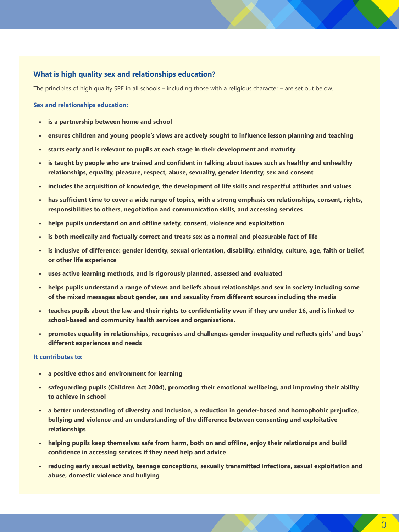#### **What is high quality sex and relationships education?**

The principles of high quality SRE in all schools – including those with a religious character – are set out below.

#### **Sex and relationships education:**

- **• is a partnership between home and school**
- **• ensures children and young people's views are actively sought to influence lesson planning and teaching**
- **starts early and is relevant to pupils at each stage in their development and maturity**
- . is taught by people who are trained and confident in talking about issues such as healthy and unhealthy **relationships, equality, pleasure, respect, abuse, sexuality, gender identity, sex and consent**
- **• includes the acquisition of knowledge, the development of life skills and respectful attitudes and values**
- . has sufficient time to cover a wide range of topics, with a strong emphasis on relationships, consent, rights, **responsibilities to others, negotiation and communication skills, and accessing services**
- **• helps pupils understand on and offline safety, consent, violence and exploitation**
- **• is both medically and factually correct and treats sex as a normal and pleasurable fact of life**
- **• is inclusive of difference: gender identity, sexual orientation, disability, ethnicity, culture, age, faith or belief, or other life experience**
- **• uses active learning methods, and is rigorously planned, assessed and evaluated**
- **• helps pupils understand a range of views and beliefs about relationships and sex in society including some of the mixed messages about gender, sex and sexuality from different sources including the media**
- teaches pupils about the law and their rights to confidentiality even if they are under 16, and is linked to **school-based and community health services and organisations.**
- **• promotes equality in relationships, recognises and challenges gender inequality and reflects girls' and boys' different experiences and needs**

#### **It contributes to:**

- **• a positive ethos and environment for learning**
- **• safeguarding pupils (Children Act 2004), promoting their emotional wellbeing, and improving their ability to achieve in school**
- **• a better understanding of diversity and inclusion, a reduction in gender-based and homophobic prejudice, bullying and violence and an understanding of the difference between consenting and exploitative relationships**
- **• helping pupils keep themselves safe from harm, both on and offline, enjoy their relationsips and build confidence in accessing services if they need help and advice**
- **• reducing early sexual activity, teenage conceptions, sexually transmitted infections, sexual exploitation and abuse, domestic violence and bullying**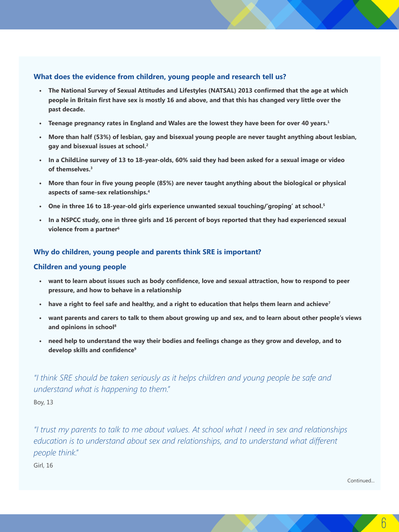#### **What does the evidence from children, young people and research tell us?**

- **• The National Survey of Sexual Attitudes and Lifestyles (NATSAL) 2013 confirmed that the age at which** people in Britain first have sex is mostly 16 and above, and that this has changed very little over the **past decade.**
- Teenage pregnancy rates in England and Wales are the lowest they have been for over 40 years.<sup>1</sup>
- More than half (53%) of lesbian, gay and bisexual young people are never taught anything about lesbian, **gay and bisexual issues at school.2**
- In a ChildLine survey of 13 to 18-year-olds, 60% said they had been asked for a sexual image or video **of themselves.<sup>3</sup>**
- More than four in five young people (85%) are never taught anything about the biological or physical **aspects of same-sex relationships.4**
- **• One in three 16 to 18-year-old girls experience unwanted sexual touching/'groping' at school.<sup>5</sup>**
- In a NSPCC study, one in three girls and 16 percent of boys reported that they had experienced sexual **violence from a partner6**

#### **Why do children, young people and parents think SRE is important?**

#### **Children and young people**

- want to learn about issues such as body confidence, love and sexual attraction, how to respond to peer **pressure, and how to behave in a relationship**
- have a right to feel safe and healthy, and a right to education that helps them learn and achieve<sup>7</sup>
- want parents and carers to talk to them about growing up and sex, and to learn about other people's views **and opinions in school<sup>8</sup>**
- **• need help to understand the way their bodies and feelings change as they grow and develop, and to develop skills and confidence<sup>9</sup>**

# *"I think SRE should be taken seriously as it helps children and young people be safe and understand what is happening to them."*

Boy, 13

*"I trust my parents to talk to me about values. At school what I need in sex and relationships education is to understand about sex and relationships, and to understand what different people think."* 

Girl, 16

Continued...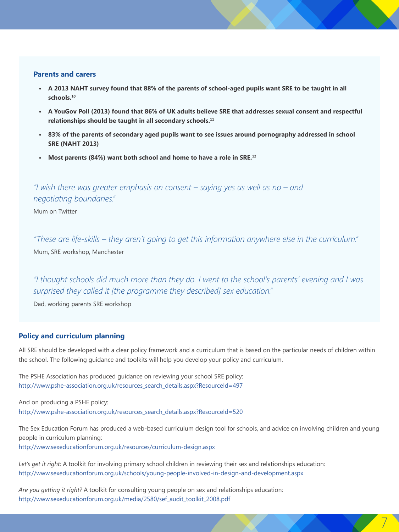#### **Parents and carers**

- A 2013 NAHT survey found that 88% of the parents of school-aged pupils want SRE to be taught in all **schools.10**
- A YouGov Poll (2013) found that 86% of UK adults believe SRE that addresses sexual consent and respectful **relationships should be taught in all secondary schools.11**
- 83% of the parents of secondary aged pupils want to see issues around pornography addressed in school **SRE (NAHT 2013)**
- **• Most parents (84%) want both school and home to have a role in SRE.<sup>12</sup>**

*"I wish there was greater emphasis on consent – saying yes as well as no – and negotiating boundaries."* 

Mum on Twitter

*"These are life-skills – they aren't going to get this information anywhere else in the curriculum."*  Mum, SRE workshop, Manchester

*"I thought schools did much more than they do. I went to the school's parents' evening and I was surprised they called it [the programme they described] sex education."* 

Dad, working parents SRE workshop

#### **Policy and curriculum planning**

All SRE should be developed with a clear policy framework and a curriculum that is based on the particular needs of children within the school. The following guidance and toolkits will help you develop your policy and curriculum.

The PSHE Association has produced guidance on reviewing your school SRE policy: [http://www.pshe-association.org.uk/resources\\_search\\_details.aspx?ResourceId=497](http://www.pshe-association.org.uk/resources_search_details.aspx?ResourceId=497 ) 

And on producing a PSHE policy: [http://www.pshe-association.org.uk/resources\\_search\\_details.aspx?ResourceId=520](http://www.pshe-association.org.uk/resources_search_details.aspx?ResourceId=520 ) 

The Sex Education Forum has produced a web-based curriculum design tool for schools, and advice on involving children and young people in curriculum planning:

7

<http://www.sexeducationforum.org.uk/resources/curriculum-design.aspx>

*Let's get it right*: A toolkit for involving primary school children in reviewing their sex and relationships education: <http://www.sexeducationforum.org.uk/schools/young-people-involved-in-design-and-development.aspx>

*Are you getting it right?* A toolkit for consulting young people on sex and relationships education: [http://www.sexeducationforum.org.uk/media/2580/sef\\_audit\\_toolkit\\_2008.pdf](http://www.sexeducationforum.org.uk/media/2580/sef_audit_toolkit_2008.pdf)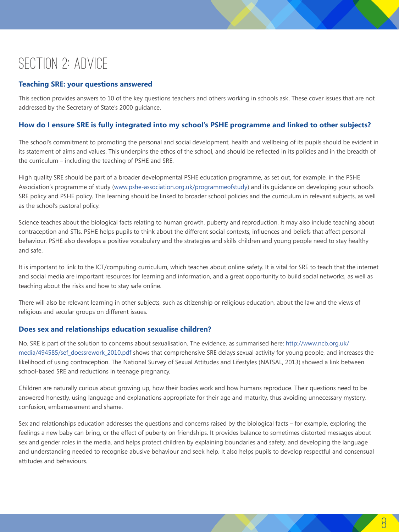# SECTION 2: ADVICE

#### **Teaching SRE: your questions answered**

This section provides answers to 10 of the key questions teachers and others working in schools ask. These cover issues that are not addressed by the Secretary of State's 2000 guidance.

#### How do I ensure SRE is fully integrated into my school's PSHE programme and linked to other subjects?

The school's commitment to promoting the personal and social development, health and wellbeing of its pupils should be evident in its statement of aims and values. This underpins the ethos of the school, and should be reflected in its policies and in the breadth of the curriculum – including the teaching of PSHE and SRE.

High quality SRE should be part of a broader developmental PSHE education programme, as set out, for example, in the PSHE Association's programme of study (<www.pshe-association.org.uk/programmeofstudy>) and its guidance on developing your school's SRE policy and PSHE policy. This learning should be linked to broader school policies and the curriculum in relevant subjects, as well as the school's pastoral policy.

Science teaches about the biological facts relating to human growth, puberty and reproduction. It may also include teaching about contraception and STIs. PSHE helps pupils to think about the different social contexts, influences and beliefs that affect personal behaviour. PSHE also develops a positive vocabulary and the strategies and skills children and young people need to stay healthy and safe.

It is important to link to the ICT/computing curriculum, which teaches about online safety. It is vital for SRE to teach that the internet and social media are important resources for learning and information, and a great opportunity to build social networks, as well as teaching about the risks and how to stay safe online.

There will also be relevant learning in other subjects, such as citizenship or religious education, about the law and the views of religious and secular groups on different issues.

#### **Does sex and relationships education sexualise children?**

No. SRE is part of the solution to concerns about sexualisation. The evidence, as summarised here: [http://www.ncb.org.uk/](http://www.ncb.org.uk/media/494585/sef_doessrework_2010.pdf) media/494585/sef doessrework 2010.pdf shows that comprehensive SRE delays sexual activity for young people, and increases the likelihood of using contraception. The National Survey of Sexual Attitudes and Lifestyles (NATSAL, 2013) showed a link between school-based SRE and reductions in teenage pregnancy.

Children are naturally curious about growing up, how their bodies work and how humans reproduce. Their questions need to be answered honestly, using language and explanations appropriate for their age and maturity, thus avoiding unnecessary mystery, confusion, embarrassment and shame.

Sex and relationships education addresses the questions and concerns raised by the biological facts – for example, exploring the feelings a new baby can bring, or the effect of puberty on friendships. It provides balance to sometimes distorted messages about sex and gender roles in the media, and helps protect children by explaining boundaries and safety, and developing the language and understanding needed to recognise abusive behaviour and seek help. It also helps pupils to develop respectful and consensual attitudes and behaviours.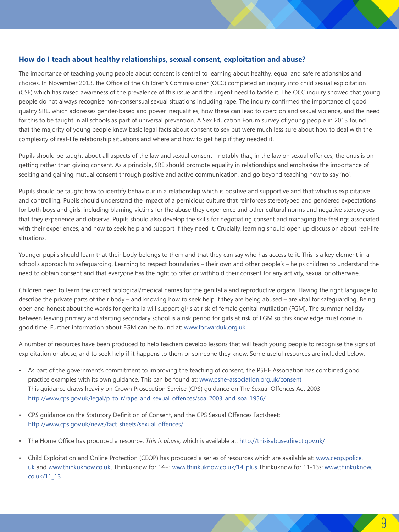#### **How do I teach about healthy relationships, sexual consent, exploitation and abuse?**

The importance of teaching young people about consent is central to learning about healthy, equal and safe relationships and choices. In November 2013, the Office of the Children's Commissioner (OCC) completed an inquiry into child sexual exploitation (CSE) which has raised awareness of the prevalence of this issue and the urgent need to tackle it. The OCC inquiry showed that young people do not always recognise non-consensual sexual situations including rape. The inquiry confirmed the importance of good quality SRE, which addresses gender-based and power inequalities, how these can lead to coercion and sexual violence, and the need for this to be taught in all schools as part of universal prevention. A Sex Education Forum survey of young people in 2013 found that the majority of young people knew basic legal facts about consent to sex but were much less sure about how to deal with the complexity of real-life relationship situations and where and how to get help if they needed it.

Pupils should be taught about all aspects of the law and sexual consent - notably that, in the law on sexual offences, the onus is on getting rather than giving consent. As a principle, SRE should promote equality in relationships and emphasise the importance of seeking and gaining mutual consent through positive and active communication, and go beyond teaching how to say 'no'.

Pupils should be taught how to identify behaviour in a relationship which is positive and supportive and that which is exploitative and controlling. Pupils should understand the impact of a pernicious culture that reinforces stereotyped and gendered expectations for both boys and girls, including blaming victims for the abuse they experience and other cultural norms and negative stereotypes that they experience and observe. Pupils should also develop the skills for negotiating consent and managing the feelings associated with their experiences, and how to seek help and support if they need it. Crucially, learning should open up discussion about real-life situations.

Younger pupils should learn that their body belongs to them and that they can say who has access to it. This is a key element in a school's approach to safeguarding. Learning to respect boundaries – their own and other people's – helps children to understand the need to obtain consent and that everyone has the right to offer or withhold their consent for any activity, sexual or otherwise.

Children need to learn the correct biological/medical names for the genitalia and reproductive organs. Having the right language to describe the private parts of their body – and knowing how to seek help if they are being abused – are vital for safeguarding. Being open and honest about the words for genitalia will support girls at risk of female genital mutilation (FGM). The summer holiday between leaving primary and starting secondary school is a risk period for girls at risk of FGM so this knowledge must come in good time. Further information about FGM can be found at:<www.forwarduk.org.uk>

A number of resources have been produced to help teachers develop lessons that will teach young people to recognise the signs of exploitation or abuse, and to seek help if it happens to them or someone they know. Some useful resources are included below:

- As part of the government's commitment to improving the teaching of consent, the PSHE Association has combined good practice examples with its own guidance. This can be found at: <www.pshe-association.org.uk/consent> This guidance draws heavily on Crown Prosecution Service (CPS) guidance on The Sexual Offences Act 2003: [http://www.cps.gov.uk/legal/p\\_to\\_r/rape\\_and\\_sexual\\_offences/soa\\_2003\\_and\\_soa\\_1956/](http://www.cps.gov.uk/legal/p_to_r/rape_and_sexual_offences/soa_2003_and_soa_1956/)
- CPS guidance on the Statutory Definition of Consent, and the CPS Sexual Offences Factsheet: [http://www.cps.gov.uk/news/fact\\_sheets/sexual\\_offences/](http://www.cps.gov.uk/news/fact_sheets/sexual_offences/)
- The Home Office has produced a resource, *This is abuse*, which is available at: <http://thisisabuse.direct.gov.uk/>
- Child Exploitation and Online Protection (CEOP) has produced a series of resources which are available at: [www.ceop.police.](www.ceop.police.uk) [uk](www.ceop.police.uk) and<www.thinkuknow.co.uk>. Thinkuknow for 14+: [www.thinkuknow.co.uk/14\\_plus](www.thinkuknow.co.uk/14_plus) Thinkuknow for 11-13s: [www.thinkuknow.](www.thinkuknow.co.uk/11_13) [co.uk/11\\_13](www.thinkuknow.co.uk/11_13)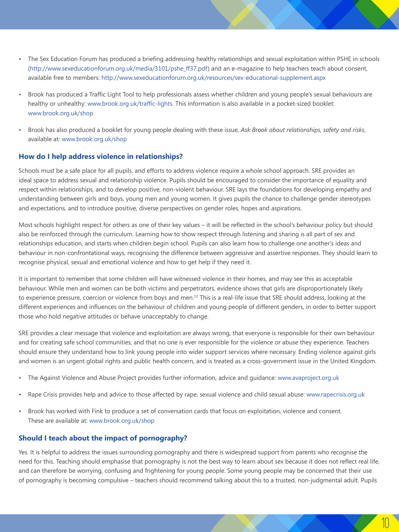- The Sex Education Forum has produced a briefing addressing healthy relationships and sexual exploitation within PSHE in schools ([http://www.sexeducationforum.org.uk/media/3101/pshe\\_ff37.pdf\)](http://www.sexeducationforum.org.uk/media/3101/pshe_ff37.pdf) and an e-magazine to help teachers teach about consent, available free to members:<http://www.sexeducationforum.org.uk/resources/sex-educational-supplement.aspx>
- Brook has produced a Traffic Light Tool to help professionals assess whether children and young people's sexual behaviours are healthy or unhealthy: <www.brook.org.uk/traffic-lights>. This information is also available in a pocket-sized booklet: <www.brook.org.uk/shop>
- Brook has also produced a booklet for young people dealing with these issue, *Ask Brook about relationships, safety and risks*, available at: <www.brook.org.uk/shop>

#### **How do I help address violence in relationships?**

Schools must be a safe place for all pupils, and efforts to address violence require a whole school approach. SRE provides an ideal space to address sexual and relationship violence. Pupils should be encouraged to consider the importance of equality and respect within relationships, and to develop positive, non-violent behaviour. SRE lays the foundations for developing empathy and understanding between girls and boys, young men and young women. It gives pupils the chance to challenge gender stereotypes and expectations, and to introduce positive, diverse perspectives on gender roles, hopes and aspirations.

Most schools highlight respect for others as one of their key values – it will be reflected in the school's behaviour policy but should also be reinforced through the curriculum. Learning how to show respect through listening and sharing is all part of sex and relationships education, and starts when children begin school. Pupils can also learn how to challenge one another's ideas and behaviour in non-confrontational ways, recognising the difference between aggressive and assertive responses. They should learn to recognise physical, sexual and emotional violence and how to get help if they need it.

It is important to remember that some children will have witnessed violence in their homes, and may see this as acceptable behaviour. While men and women can be both victims and perpetrators, evidence shows that girls are disproportionately likely to experience pressure, coercion or violence from boys and men.<sup>13</sup> This is a real-life issue that SRE should address, looking at the different experiences and influences on the behaviour of children and young people of different genders, in order to better support those who hold negative attitudes or behave unacceptably to change.

SRE provides a clear message that violence and exploitation are always wrong, that everyone is responsible for their own behaviour and for creating safe school communities, and that no one is ever responsible for the violence or abuse they experience. Teachers should ensure they understand how to link young people into wider support services where necessary. Ending violence against girls and women is an urgent global rights and public health concern, and is treated as a cross-government issue in the United Kingdom.

- The Against Violence and Abuse Project provides further information, advice and guidance: <www.avaproject.org.uk>
- Rape Crisis provides help and advice to those affected by rape, sexual violence and child sexual abuse:<www.rapecrisis.org.uk>
- Brook has worked with Fink to produce a set of conversation cards that focus on exploitation, violence and consent. These are available at: <www.brook.org.uk/shop>

### **Should I teach about the impact of pornography?**

Yes. It is helpful to address the issues surrounding pornography and there is widespread support from parents who recognise the need for this. Teaching should emphasise that pornography is not the best way to learn about sex because it does not reflect real life, and can therefore be worrying, confusing and frightening for young people. Some young people may be concerned that their use of pornography is becoming compulsive – teachers should recommend talking about this to a trusted, non-judgmental adult. Pupils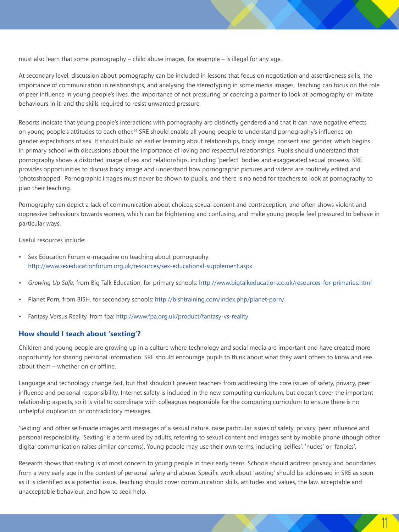must also learn that some pornography – child abuse images, for example – is illegal for any age.

At secondary level, discussion about pornography can be included in lessons that focus on negotiation and assertiveness skills, the importance of communication in relationships, and analysing the stereotyping in some media images. Teaching can focus on the role of peer influence in young people's lives, the importance of not pressuring or coercing a partner to look at pornography or imitate behaviours in it, and the skills required to resist unwanted pressure.

Reports indicate that young people's interactions with pornography are distinctly gendered and that it can have negative effects on young people's attitudes to each other.14 SRE should enable all young people to understand pornography's influence on gender expectations of sex. It should build on earlier learning about relationships, body image, consent and gender, which begins in primary school with discussions about the importance of loving and respectful relationships. Pupils should understand that pornography shows a distorted image of sex and relationships, including 'perfect' bodies and exaggerated sexual prowess. SRE provides opportunities to discuss body image and understand how pornographic pictures and videos are routinely edited and 'photoshopped'. Pornographic images must never be shown to pupils, and there is no need for teachers to look at pornography to plan their teaching.

Pornography can depict a lack of communication about choices, sexual consent and contraception, and often shows violent and oppressive behaviours towards women, which can be frightening and confusing, and make young people feel pressured to behave in particular ways.

Useful resources include:

- Sex Education Forum e-magazine on teaching about pornography: <http://www.sexeducationforum.org.uk/resources/sex-educational-supplement.aspx>
- *Growing Up Safe*, from Big Talk Education, for primary schools:<http://www.bigtalkeducation.co.uk/resources-for-primaries.html>
- Planet Porn, from BISH, for secondary schools:<http://bishtraining.com/index.php/planet-porn/>
- Fantasy Versus Reality, from fpa: [http://www.fpa.org.uk/product/fantasy-vs-reality](http://www.fpa.org.uk/product/fantasy-vs-reality )

### **How should I teach about 'sexting'?**

Children and young people are growing up in a culture where technology and social media are important and have created more opportunity for sharing personal information. SRE should encourage pupils to think about what they want others to know and see about them – whether on or offline.

Language and technology change fast, but that shouldn't prevent teachers from addressing the core issues of safety, privacy, peer influence and personal responsibility. Internet safety is included in the new computing curriculum, but doesn't cover the important relationship aspects, so it is vital to coordinate with colleagues responsible for the computing curriculum to ensure there is no unhelpful duplication or contradictory messages.

'Sexting' and other self-made images and messages of a sexual nature, raise particular issues of safety, privacy, peer influence and personal responsibility. 'Sexting' is a term used by adults, referring to sexual content and images sent by mobile phone (though other digital communication raises similar concerns). Young people may use their own terms, including 'selfies', 'nudes' or 'fanpics'.

Research shows that sexting is of most concern to young people in their early teens. Schools should address privacy and boundaries from a very early age in the context of personal safety and abuse. Specific work about 'sexting' should be addressed in SRE as soon as it is identified as a potential issue. Teaching should cover communication skills, attitudes and values, the law, acceptable and unacceptable behaviour, and how to seek help.

11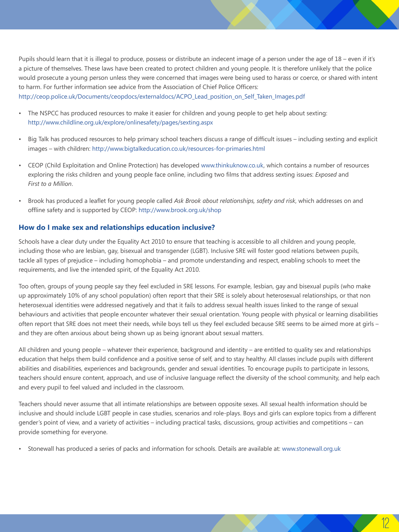Pupils should learn that it is illegal to produce, possess or distribute an indecent image of a person under the age of 18 – even if it's a picture of themselves. These laws have been created to protect children and young people. It is therefore unlikely that the police would prosecute a young person unless they were concerned that images were being used to harass or coerce, or shared with intent to harm. For further information see advice from the Association of Chief Police Officers:

[http://ceop.police.uk/Documents/ceopdocs/externaldocs/ACPO\\_Lead\\_position\\_on\\_Self\\_Taken\\_Images.pdf](http://ceop.police.uk/Documents/ceopdocs/externaldocs/ACPO_Lead_position_on_Self_Taken_Images.pdf)

- The NSPCC has produced resources to make it easier for children and young people to get help about sexting: <http://www.childline.org.uk/explore/onlinesafety/pages/sexting.aspx>
- Big Talk has produced resources to help primary school teachers discuss a range of difficult issues including sexting and explicit images – with children:<http://www.bigtalkeducation.co.uk/resources-for-primaries.html>
- CEOP (Child Exploitation and Online Protection) has developed<www.thinkuknow.co.uk>, which contains a number of resources exploring the risks children and young people face online, including two films that address sexting issues: *Exposed* and *First to a Million*.
- Brook has produced a leaflet for young people called *Ask Brook about relationships, safety and risk*, which addresses on and offline safety and is supported by CEOP: [http://www.brook.org.uk/s](http://www.brook.org.uk/shop)hop

#### **How do I make sex and relationships education inclusive?**

Schools have a clear duty under the Equality Act 2010 to ensure that teaching is accessible to all children and young people, including those who are lesbian, gay, bisexual and transgender (LGBT). Inclusive SRE will foster good relations between pupils, tackle all types of prejudice – including homophobia – and promote understanding and respect, enabling schools to meet the requirements, and live the intended spirit, of the Equality Act 2010.

Too often, groups of young people say they feel excluded in SRE lessons. For example, lesbian, gay and bisexual pupils (who make up approximately 10% of any school population) often report that their SRE is solely about heterosexual relationships, or that non heterosexual identities were addressed negatively and that it fails to address sexual health issues linked to the range of sexual behaviours and activities that people encounter whatever their sexual orientation. Young people with physical or learning disabilities often report that SRE does not meet their needs, while boys tell us they feel excluded because SRE seems to be aimed more at girls – and they are often anxious about being shown up as being ignorant about sexual matters.

All children and young people – whatever their experience, background and identity – are entitled to quality sex and relationships education that helps them build confidence and a positive sense of self, and to stay healthy. All classes include pupils with different abilities and disabilities, experiences and backgrounds, gender and sexual identities. To encourage pupils to participate in lessons, teachers should ensure content, approach, and use of inclusive language reflect the diversity of the school community, and help each and every pupil to feel valued and included in the classroom.

Teachers should never assume that all intimate relationships are between opposite sexes. All sexual health information should be inclusive and should include LGBT people in case studies, scenarios and role-plays. Boys and girls can explore topics from a different gender's point of view, and a variety of activities – including practical tasks, discussions, group activities and competitions – can provide something for everyone.

• Stonewall has produced a series of packs and information for schools. Details are available at: <www.stonewall.org.uk>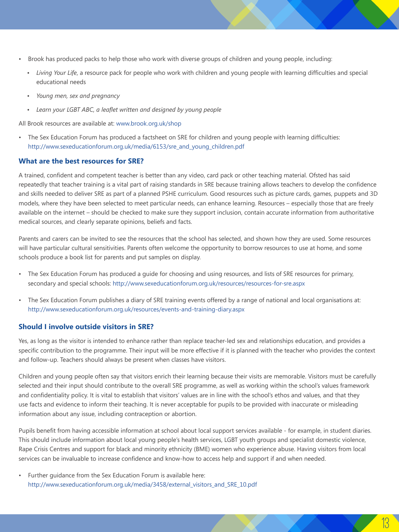- Brook has produced packs to help those who work with diverse groups of children and young people, including:
	- *• Living Your Life*, a resource pack for people who work with children and young people with learning difficulties and special educational needs
	- *• Young men, sex and pregnancy*
	- *• Learn your LGBT ABC, a leaflet written and designed by young people*

All Brook resources are available at: <www.brook.org.uk/shop>

• The Sex Education Forum has produced a factsheet on SRE for children and young people with learning difficulties: [http://www.sexeducationforum.org.uk/media/6153/sre\\_and\\_young\\_children.pdf](http://www.sexeducationforum.org.uk/media/6153/sre_and_young_children.pdf)

#### **What are the best resources for SRE?**

A trained, confident and competent teacher is better than any video, card pack or other teaching material. Ofsted has said repeatedly that teacher training is a vital part of raising standards in SRE because training allows teachers to develop the confidence and skills needed to deliver SRE as part of a planned PSHE curriculum. Good resources such as picture cards, games, puppets and 3D models, where they have been selected to meet particular needs, can enhance learning. Resources – especially those that are freely available on the internet – should be checked to make sure they support inclusion, contain accurate information from authoritative medical sources, and clearly separate opinions, beliefs and facts.

Parents and carers can be invited to see the resources that the school has selected, and shown how they are used. Some resources will have particular cultural sensitivities. Parents often welcome the opportunity to borrow resources to use at home, and some schools produce a book list for parents and put samples on display.

- The Sex Education Forum has produced a guide for choosing and using resources, and lists of SRE resources for primary, secondary and special schools: <http://www.sexeducationforum.org.uk/resources/resources-for-sre.aspx>
- The Sex Education Forum publishes a diary of SRE training events offered by a range of national and local organisations at: <http://www.sexeducationforum.org.uk/resources/events-and-training-diary.aspx>

#### **Should I involve outside visitors in SRE?**

Yes, as long as the visitor is intended to enhance rather than replace teacher-led sex and relationships education, and provides a specific contribution to the programme. Their input will be more effective if it is planned with the teacher who provides the context and follow-up. Teachers should always be present when classes have visitors.

Children and young people often say that visitors enrich their learning because their visits are memorable. Visitors must be carefully selected and their input should contribute to the overall SRE programme, as well as working within the school's values framework and confidentiality policy. It is vital to establish that visitors' values are in line with the school's ethos and values, and that they use facts and evidence to inform their teaching. It is never acceptable for pupils to be provided with inaccurate or misleading information about any issue, including contraception or abortion.

Pupils benefit from having accessible information at school about local support services available - for example, in student diaries. This should include information about local young people's health services, LGBT youth groups and specialist domestic violence, Rape Crisis Centres and support for black and minority ethnicity (BME) women who experience abuse. Having visitors from local services can be invaluable to increase confidence and know-how to access help and support if and when needed.

• Further guidance from the Sex Education Forum is available here: [http://www.sexeducationforum.org.uk/media/3458/external\\_visitors\\_and\\_SRE\\_10.pdf](http://www.sexeducationforum.org.uk/media/3458/external_visitors_and_SRE_10.pdf)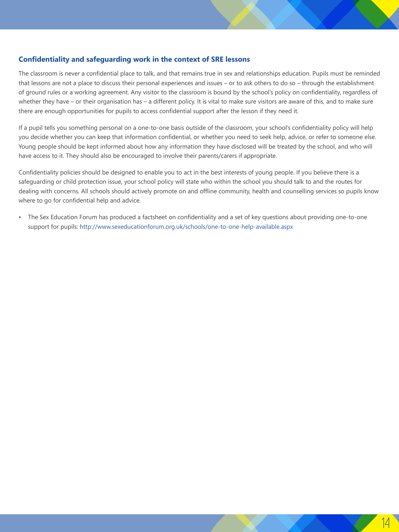#### **Confidentiality and safeguarding work in the context of SRE lessons**

The classroom is never a confidential place to talk, and that remains true in sex and relationships education. Pupils must be reminded that lessons are not a place to discuss their personal experiences and issues – or to ask others to do so – through the establishment of ground rules or a working agreement. Any visitor to the classroom is bound by the school's policy on confidentiality, regardless of whether they have – or their organisation has – a different policy. It is vital to make sure visitors are aware of this, and to make sure there are enough opportunities for pupils to access confidential support after the lesson if they need it.

If a pupil tells you something personal on a one-to-one basis outside of the classroom, your school's confidentiality policy will help you decide whether you can keep that information confidential, or whether you need to seek help, advice, or refer to someone else. Young people should be kept informed about how any information they have disclosed will be treated by the school, and who will have access to it. They should also be encouraged to involve their parents/carers if appropriate.

Confidentiality policies should be designed to enable you to act in the best interests of young people. If you believe there is a safeguarding or child protection issue, your school policy will state who within the school you should talk to and the routes for dealing with concerns. All schools should actively promote on and offline community, health and counselling services so pupils know where to go for confidential help and advice.

• The Sex Education Forum has produced a factsheet on confidentiality and a set of key questions about providing one-to-one support for pupils: <http://www.sexeducationforum.org.uk/schools/one-to-one-help-available.aspx>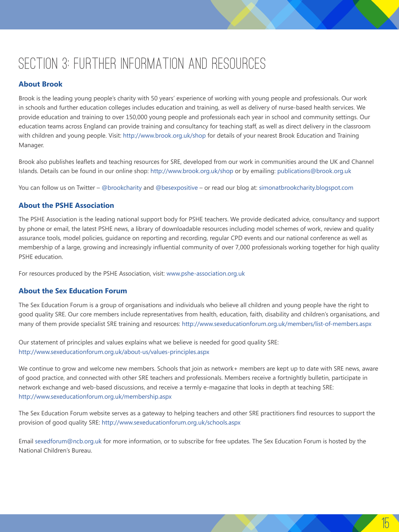# Section 3: Further information and resources

## **About Brook**

Brook is the leading young people's charity with 50 years' experience of working with young people and professionals. Our work in schools and further education colleges includes education and training, as well as delivery of nurse-based health services. We provide education and training to over 150,000 young people and professionals each year in school and community settings. Our education teams across England can provide training and consultancy for teaching staff, as well as direct delivery in the classroom with children and young people. Visit: [http://www.brook.org.uk/shop](www.brook.org.uk/shop) for details of your nearest Brook Education and Training Manager.

Brook also publishes leaflets and teaching resources for SRE, developed from our work in communities around the UK and Channel Islands. Details can be found in our online shop: [http://www.brook.org.uk/shop](www.brook.org.uk/shop) or by emailing: [publications@brook.org.uk](mailto:publications%40brook.org.uk?subject=)

You can follow us on Twitter – [@brookcharity](http://twitter.com/brookcharity) and [@besexpositive](http://twitter.com/besexpositive) – or read our blog at: <simonatbrookcharity.blogspot.com>

### **About the PSHE Association**

The PSHE Association is the leading national support body for PSHE teachers. We provide dedicated advice, consultancy and support by phone or email, the latest PSHE news, a library of downloadable resources including model schemes of work, review and quality assurance tools, model policies, guidance on reporting and recording, regular CPD events and our national conference as well as membership of a large, growing and increasingly influential community of over 7,000 professionals working together for high quality PSHE education.

For resources produced by the PSHE Association, visit: [www.pshe-association.org.uk](http://www.pshe-association.org.uk)

### **About the Sex Education Forum**

The Sex Education Forum is a group of organisations and individuals who believe all children and young people have the right to good quality SRE. Our core members include representatives from health, education, faith, disability and children's organisations, and many of them provide specialist SRE training and resources:<http://www.sexeducationforum.org.uk/members/list-of-members.aspx>

Our statement of principles and values explains what we believe is needed for good quality SRE: <http://www.sexeducationforum.org.uk/about-us/values-principles.aspx>

We continue to grow and welcome new members. Schools that join as network+ members are kept up to date with SRE news, aware of good practice, and connected with other SRE teachers and professionals. Members receive a fortnightly bulletin, participate in network exchange and web-based discussions, and receive a termly e-magazine that looks in depth at teaching SRE: <http://www.sexeducationforum.org.uk/membership.aspx>

The Sex Education Forum website serves as a gateway to helping teachers and other SRE practitioners find resources to support the provision of good quality SRE: <http://www.sexeducationforum.org.uk/schools.aspx>

Email [sexedforum@ncb.org.uk](mailto:sexedforum%40ncb.org.uk?subject=) for more information, or to subscribe for free updates. The Sex Education Forum is hosted by the National Children's Bureau.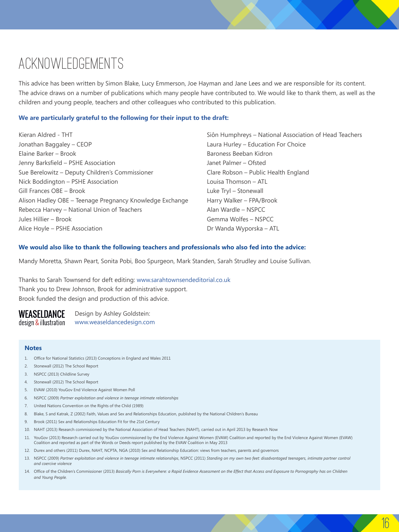# Acknowledgements

This advice has been written by Simon Blake, Lucy Emmerson, Joe Hayman and Jane Lees and we are responsible for its content. The advice draws on a number of publications which many people have contributed to. We would like to thank them, as well as the children and young people, teachers and other colleagues who contributed to this publication.

#### **We are particularly grateful to the following for their input to the draft:**

Kieran Aldred - THT Jonathan Baggaley – CEOP Elaine Barker – Brook Jenny Barksfield – PSHE Association Sue Berelowitz – Deputy Children's Commissioner Nick Boddington – PSHE Association Gill Frances OBE – Brook Alison Hadley OBE – Teenage Pregnancy Knowledge Exchange Rebecca Harvey – National Union of Teachers Jules Hillier – Brook Alice Hoyle – PSHE Association

Siôn Humphreys – National Association of Head Teachers Laura Hurley – Education For Choice Baroness Beeban Kidron Janet Palmer – Ofsted Clare Robson – Public Health England Louisa Thomson – ATL Luke Tryl – Stonewall Harry Walker – FPA/Brook Alan Wardle – NSPCC Gemma Wolfes – NSPCC Dr Wanda Wyporska – ATL

#### **We would also like to thank the following teachers and professionals who also fed into the advice:**

Mandy Moretta, Shawn Peart, Sonita Pobi, Boo Spurgeon, Mark Standen, Sarah Strudley and Louise Sullivan.

Thanks to Sarah Townsend for deft editing:<www.sarahtownsendeditorial.co.uk> Thank you to Drew Johnson, Brook for administrative support. Brook funded the design and production of this advice.

**WEASELDANCE** Design by Ashley Goldstein: design & illustration <www.weaseldancedesign.com>

#### **Notes**

- 1. Office for National Statistics (2013) Conceptions in England and Wales 2011
- 2. Stonewall (2012) The School Report
- 3. NSPCC (2013) Childline Survey
- 4. Stonewall (2012) The School Report
- 5. EVAW (2010) YouGov End Violence Against Women Poll
- 6. NSPCC (2009) *Partner exploitation and violence in teenage intimate relationships*
- 7. United Nations Convention on the Rights of the Child (1989)
- 8. Blake, S and Katrak, Z (2002) Faith, Values and Sex and Relationships Education, published by the National Children's Bureau
- 9. Brook (2011) Sex and Relationships Education Fit for the 21st Century
- 10. NAHT (2013) Research commissioned by the National Association of Head Teachers (NAHT), carried out in April 2013 by Research Now
- 11. YouGov (2013) Research carried out by YouGov commissioned by the End Violence Against Women (EVAW) Coalition and reported by the End Violence Against Women (EVAW) Coalition and reported as part of the Words or Deeds report published by the EVAW Coalition in May 2013
- 12. Durex and others (2011) Durex, NAHT, NCPTA, NGA (2010) Sex and Relationship Education: views from teachers, parents and governors
- 13. NSPCC (2009) *Partner exploitation and violence in teenage intimate relationships*, NSPCC (2011) *Standing on my own two feet: disadvantaged teenagers, intimate partner control and coercive violence*
- 14. Office of the Children's Commissioner (2013) *Basically Porn is Everywhere: a Rapid Evidence Assessment on the Effect that Access and Exposure to Pornography has on Children and Young People.*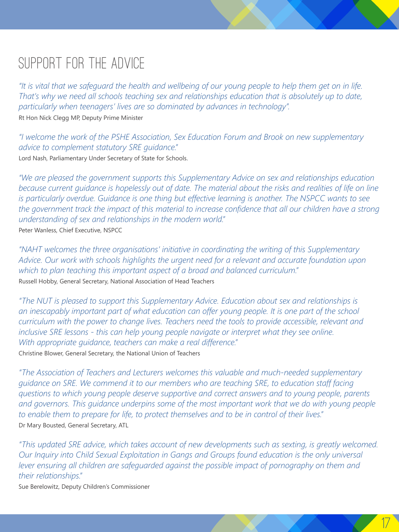# support FOR THE ADVICE

*"It is vital that we safeguard the health and wellbeing of our young people to help them get on in life. That's why we need all schools teaching sex and relationships education that is absolutely up to date, particularly when teenagers' lives are so dominated by advances in technology".*  Rt Hon Nick Clegg MP, Deputy Prime Minister

*"I welcome the work of the PSHE Association, Sex Education Forum and Brook on new supplementary advice to complement statutory SRE guidance."* 

Lord Nash, Parliamentary Under Secretary of State for Schools.

*"We are pleased the government supports this Supplementary Advice on sex and relationships education because current guidance is hopelessly out of date. The material about the risks and realities of life on line is particularly overdue. Guidance is one thing but effective learning is another. The NSPCC wants to see the government track the impact of this material to increase confidence that all our children have a strong understanding of sex and relationships in the modern world."*  Peter Wanless, Chief Executive, NSPCC

*"NAHT welcomes the three organisations' initiative in coordinating the writing of this Supplementary Advice. Our work with schools highlights the urgent need for a relevant and accurate foundation upon which to plan teaching this important aspect of a broad and balanced curriculum."*  Russell Hobby, General Secretary, National Association of Head Teachers

*"The NUT is pleased to support this Supplementary Advice. Education about sex and relationships is*  an inescapably important part of what education can offer young people. It is one part of the school *curriculum with the power to change lives. Teachers need the tools to provide accessible, relevant and inclusive SRE lessons - this can help young people navigate or interpret what they see online. With appropriate guidance, teachers can make a real difference."* 

Christine Blower, General Secretary, the National Union of Teachers

*"The Association of Teachers and Lecturers welcomes this valuable and much-needed supplementary guidance on SRE. We commend it to our members who are teaching SRE, to education staff facing questions to which young people deserve supportive and correct answers and to young people, parents and governors. This guidance underpins some of the most important work that we do with young people to enable them to prepare for life, to protect themselves and to be in control of their lives."*  Dr Mary Bousted, General Secretary, ATL

*"This updated SRE advice, which takes account of new developments such as sexting, is greatly welcomed. Our Inquiry into Child Sexual Exploitation in Gangs and Groups found education is the only universal lever ensuring all children are safeguarded against the possible impact of pornography on them and their relationships."* 

Sue Berelowitz, Deputy Children's Commissioner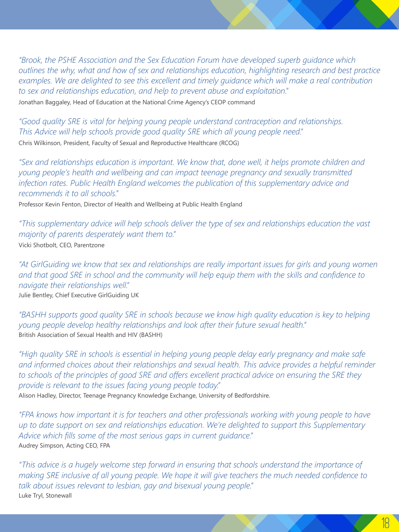*"Brook, the PSHE Association and the Sex Education Forum have developed superb guidance which outlines the why, what and how of sex and relationships education, highlighting research and best practice*  examples. We are delighted to see this excellent and timely guidance which will make a real contribution *to sex and relationships education, and help to prevent abuse and exploitation."* 

Jonathan Baggaley, Head of Education at the National Crime Agency's CEOP command

*"Good quality SRE is vital for helping young people understand contraception and relationships. This Advice will help schools provide good quality SRE which all young people need."*  Chris Wilkinson, President, Faculty of Sexual and Reproductive Healthcare (RCOG)

*"Sex and relationships education is important. We know that, done well, it helps promote children and young people's health and wellbeing and can impact teenage pregnancy and sexually transmitted infection rates. Public Health England welcomes the publication of this supplementary advice and recommends it to all schools."* 

Professor Kevin Fenton, Director of Health and Wellbeing at Public Health England

*"This supplementary advice will help schools deliver the type of sex and relationships education the vast majority of parents desperately want them to."*  Vicki Shotbolt, CEO, Parentzone

*"At GirlGuiding we know that sex and relationships are really important issues for girls and young women and that good SRE in school and the community will help equip them with the skills and confidence to navigate their relationships well."* 

Julie Bentley, Chief Executive GirlGuiding UK

*"BASHH supports good quality SRE in schools because we know high quality education is key to helping young people develop healthy relationships and look after their future sexual health."*  British Association of Sexual Health and HIV (BASHH)

*"High quality SRE in schools is essential in helping young people delay early pregnancy and make safe and informed choices about their relationships and sexual health. This advice provides a helpful reminder*  to schools of the principles of good SRE and offers excellent practical advice on ensuring the SRE they *provide is relevant to the issues facing young people today."* 

Alison Hadley, Director, Teenage Pregnancy Knowledge Exchange, University of Bedfordshire.

*"FPA knows how important it is for teachers and other professionals working with young people to have up to date support on sex and relationships education. We're delighted to support this Supplementary Advice which fills some of the most serious gaps in current guidance."*  Audrey Simpson, Acting CEO, FPA

*"This advice is a hugely welcome step forward in ensuring that schools understand the importance of making SRE inclusive of all young people. We hope it will give teachers the much needed confidence to talk about issues relevant to lesbian, gay and bisexual young people."* Luke Tryl, Stonewall